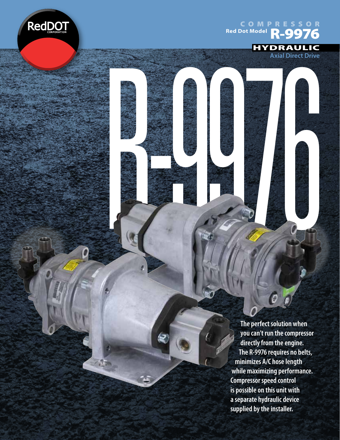

 $\sqrt{2}$ 

COMPRESSOR **Red Dot Model**<br>R-9976

R-9976



**Axial Direct Drive**

**The perfect solution when you can't run the compressor directly from the engine. The R-9976 requires no belts, minimizes A/C hose length while maximizing performance. Compressor speed control is possible on this unit with a separate hydraulic device supplied by the installer.**

 $\ddot{\mathcal{O}}$